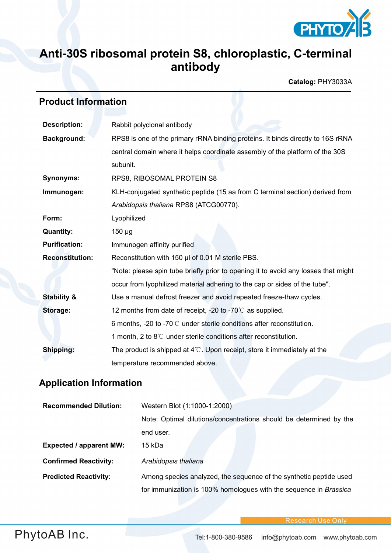

# **Anti-30S ribosomal protein S8, chloroplastic, C-terminal antibody**

**Catalog:** PHY3033A

# **Product Information**

| <b>Description:</b>    | Rabbit polyclonal antibody                                                         |  |
|------------------------|------------------------------------------------------------------------------------|--|
| <b>Background:</b>     | RPS8 is one of the primary rRNA binding proteins. It binds directly to 16S rRNA    |  |
|                        | central domain where it helps coordinate assembly of the platform of the 30S       |  |
|                        | subunit.                                                                           |  |
| <b>Synonyms:</b>       | RPS8, RIBOSOMAL PROTEIN S8                                                         |  |
| Immunogen:             | KLH-conjugated synthetic peptide (15 aa from C terminal section) derived from      |  |
|                        | Arabidopsis thaliana RPS8 (ATCG00770).                                             |  |
| Form:                  | Lyophilized                                                                        |  |
| <b>Quantity:</b>       | $150 \mu g$                                                                        |  |
| <b>Purification:</b>   | Immunogen affinity purified                                                        |  |
| <b>Reconstitution:</b> | Reconstitution with 150 µl of 0.01 M sterile PBS.                                  |  |
|                        | "Note: please spin tube briefly prior to opening it to avoid any losses that might |  |
|                        | occur from lyophilized material adhering to the cap or sides of the tube".         |  |
| <b>Stability &amp;</b> | Use a manual defrost freezer and avoid repeated freeze-thaw cycles.                |  |
| Storage:               | 12 months from date of receipt, -20 to -70°C as supplied.                          |  |
|                        | 6 months, -20 to -70 $\degree$ C under sterile conditions after reconstitution.    |  |
|                        | 1 month, 2 to 8°C under sterile conditions after reconstitution.                   |  |
| Shipping:              | The product is shipped at $4^{\circ}$ . Upon receipt, store it immediately at the  |  |
|                        | temperature recommended above.                                                     |  |

### **Application Information**

| <b>Recommended Dilution:</b>   | Western Blot (1:1000-1:2000)                                       |
|--------------------------------|--------------------------------------------------------------------|
|                                | Note: Optimal dilutions/concentrations should be determined by the |
|                                | end user.                                                          |
| <b>Expected / apparent MW:</b> | 15 kDa                                                             |
| <b>Confirmed Reactivity:</b>   | Arabidopsis thaliana                                               |
| <b>Predicted Reactivity:</b>   | Among species analyzed, the sequence of the synthetic peptide used |
|                                | for immunization is 100% homologues with the sequence in Brassica  |

**Research Use Only**